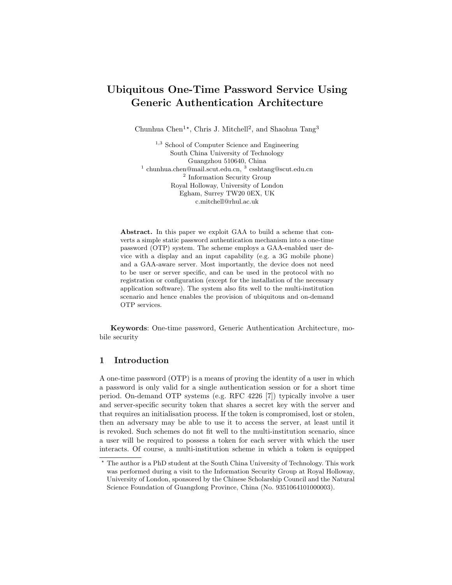# Ubiquitous One-Time Password Service Using Generic Authentication Architecture

Chunhua Chen<sup>1\*</sup>, Chris J. Mitchell<sup>2</sup>, and Shaohua Tang<sup>3</sup>

<sup>1,3</sup> School of Computer Science and Engineering South China University of Technology Guangzhou 510640, China <sup>1</sup> chunhua.chen@mail.scut.edu.cn, <sup>3</sup> csshtang@scut.edu.cn <sup>2</sup> Information Security Group Royal Holloway, University of London Egham, Surrey TW20 0EX, UK c.mitchell@rhul.ac.uk

Abstract. In this paper we exploit GAA to build a scheme that converts a simple static password authentication mechanism into a one-time password (OTP) system. The scheme employs a GAA-enabled user device with a display and an input capability (e.g. a 3G mobile phone) and a GAA-aware server. Most importantly, the device does not need to be user or server specific, and can be used in the protocol with no registration or configuration (except for the installation of the necessary application software). The system also fits well to the multi-institution scenario and hence enables the provision of ubiquitous and on-demand OTP services.

Keywords: One-time password, Generic Authentication Architecture, mobile security

## 1 Introduction

A one-time password (OTP) is a means of proving the identity of a user in which a password is only valid for a single authentication session or for a short time period. On-demand OTP systems (e.g. RFC 4226 [7]) typically involve a user and server-specific security token that shares a secret key with the server and that requires an initialisation process. If the token is compromised, lost or stolen, then an adversary may be able to use it to access the server, at least until it is revoked. Such schemes do not fit well to the multi-institution scenario, since a user will be required to possess a token for each server with which the user interacts. Of course, a multi-institution scheme in which a token is equipped

<sup>?</sup> The author is a PhD student at the South China University of Technology. This work was performed during a visit to the Information Security Group at Royal Holloway, University of London, sponsored by the Chinese Scholarship Council and the Natural Science Foundation of Guangdong Province, China (No. 9351064101000003).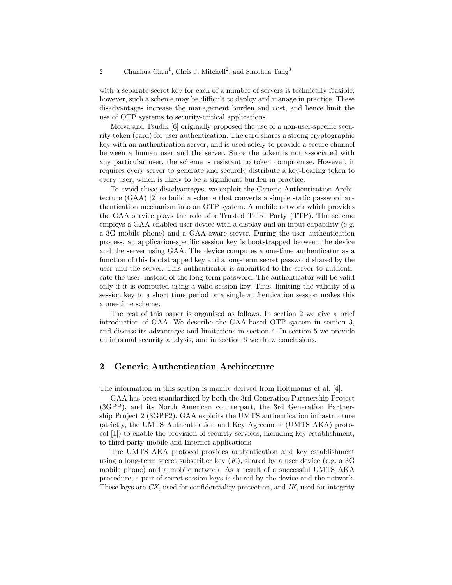with a separate secret key for each of a number of servers is technically feasible; however, such a scheme may be difficult to deploy and manage in practice. These disadvantages increase the management burden and cost, and hence limit the use of OTP systems to security-critical applications.

Molva and Tsudik [6] originally proposed the use of a non-user-specific security token (card) for user authentication. The card shares a strong cryptographic key with an authentication server, and is used solely to provide a secure channel between a human user and the server. Since the token is not associated with any particular user, the scheme is resistant to token compromise. However, it requires every server to generate and securely distribute a key-bearing token to every user, which is likely to be a significant burden in practice.

To avoid these disadvantages, we exploit the Generic Authentication Architecture (GAA) [2] to build a scheme that converts a simple static password authentication mechanism into an OTP system. A mobile network which provides the GAA service plays the role of a Trusted Third Party (TTP). The scheme employs a GAA-enabled user device with a display and an input capability (e.g. a 3G mobile phone) and a GAA-aware server. During the user authentication process, an application-specific session key is bootstrapped between the device and the server using GAA. The device computes a one-time authenticator as a function of this bootstrapped key and a long-term secret password shared by the user and the server. This authenticator is submitted to the server to authenticate the user, instead of the long-term password. The authenticator will be valid only if it is computed using a valid session key. Thus, limiting the validity of a session key to a short time period or a single authentication session makes this a one-time scheme.

The rest of this paper is organised as follows. In section 2 we give a brief introduction of GAA. We describe the GAA-based OTP system in section 3, and discuss its advantages and limitations in section 4. In section 5 we provide an informal security analysis, and in section 6 we draw conclusions.

### 2 Generic Authentication Architecture

The information in this section is mainly derived from Holtmanns et al. [4].

GAA has been standardised by both the 3rd Generation Partnership Project (3GPP), and its North American counterpart, the 3rd Generation Partnership Project 2 (3GPP2). GAA exploits the UMTS authentication infrastructure (strictly, the UMTS Authentication and Key Agreement (UMTS AKA) protocol [1]) to enable the provision of security services, including key establishment, to third party mobile and Internet applications.

The UMTS AKA protocol provides authentication and key establishment using a long-term secret subscriber key  $(K)$ , shared by a user device (e.g. a 3G) mobile phone) and a mobile network. As a result of a successful UMTS AKA procedure, a pair of secret session keys is shared by the device and the network. These keys are CK, used for confidentiality protection, and IK, used for integrity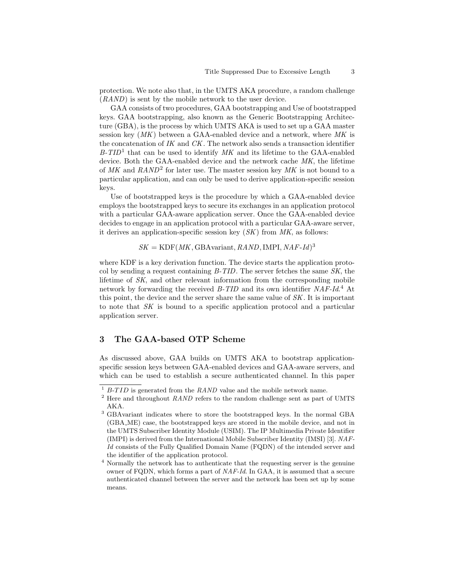protection. We note also that, in the UMTS AKA procedure, a random challenge (RAND) is sent by the mobile network to the user device.

GAA consists of two procedures, GAA bootstrapping and Use of bootstrapped keys. GAA bootstrapping, also known as the Generic Bootstrapping Architecture (GBA), is the process by which UMTS AKA is used to set up a GAA master session key  $(MK)$  between a GAA-enabled device and a network, where MK is the concatenation of  $IK$  and  $CK$ . The network also sends a transaction identifier  $B-TID<sup>1</sup>$  that can be used to identify MK and its lifetime to the GAA-enabled device. Both the GAA-enabled device and the network cache MK, the lifetime of  $MK$  and  $RAND^2$  for later use. The master session key  $MK$  is not bound to a particular application, and can only be used to derive application-specific session keys.

Use of bootstrapped keys is the procedure by which a GAA-enabled device employs the bootstrapped keys to secure its exchanges in an application protocol with a particular GAA-aware application server. Once the GAA-enabled device decides to engage in an application protocol with a particular GAA-aware server, it derives an application-specific session key  $(SK)$  from MK, as follows:

 $SK = KDF(MK, GBAvariant, RAND, IMPI, NAF-Id)^3$ 

where KDF is a key derivation function. The device starts the application protocol by sending a request containing B-TID. The server fetches the same SK, the lifetime of SK, and other relevant information from the corresponding mobile network by forwarding the received *B-TID* and its own identifier *NAF-Id.*<sup>4</sup> At this point, the device and the server share the same value of SK. It is important to note that SK is bound to a specific application protocol and a particular application server.

# 3 The GAA-based OTP Scheme

As discussed above, GAA builds on UMTS AKA to bootstrap applicationspecific session keys between GAA-enabled devices and GAA-aware servers, and which can be used to establish a secure authenticated channel. In this paper

 $\overline{1}$  B-TID is generated from the RAND value and the mobile network name.

 $^{2}$  Here and throughout  $RAND$  refers to the random challenge sent as part of UMTS AKA.

<sup>3</sup> GBAvariant indicates where to store the bootstrapped keys. In the normal GBA (GBA ME) case, the bootstrapped keys are stored in the mobile device, and not in the UMTS Subscriber Identity Module (USIM). The IP Multimedia Private Identifier (IMPI) is derived from the International Mobile Subscriber Identity (IMSI) [3]. NAF-Id consists of the Fully Qualified Domain Name (FQDN) of the intended server and the identifier of the application protocol.

<sup>4</sup> Normally the network has to authenticate that the requesting server is the genuine owner of FQDN, which forms a part of  $NAF-Id$ . In GAA, it is assumed that a secure authenticated channel between the server and the network has been set up by some means.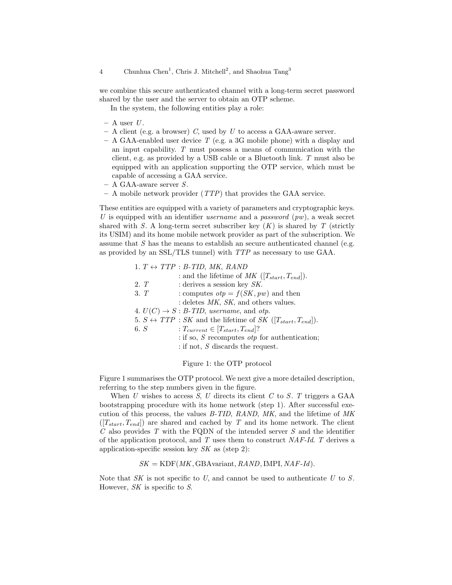we combine this secure authenticated channel with a long-term secret password shared by the user and the server to obtain an OTP scheme.

In the system, the following entities play a role:

- $-$  A user U.
- $-$  A client (e.g. a browser) C, used by U to access a GAA-aware server.
- $-$  A GAA-enabled user device T (e.g. a 3G mobile phone) with a display and an input capability. T must possess a means of communication with the client, e.g. as provided by a USB cable or a Bluetooth link. T must also be equipped with an application supporting the OTP service, which must be capable of accessing a GAA service.
- $A GAA$ -aware server S.
- A mobile network provider (TTP) that provides the GAA service.

These entities are equipped with a variety of parameters and cryptographic keys. U is equipped with an identifier *username* and a *password*  $(pw)$ , a weak secret shared with S. A long-term secret subscriber key  $(K)$  is shared by T (strictly its USIM) and its home mobile network provider as part of the subscription. We assume that  $S$  has the means to establish an secure authenticated channel (e.g. as provided by an SSL/TLS tunnel) with TTP as necessary to use GAA.

|      | 1. $T \leftrightarrow TTP : B\text{-}TID, MK, RAM$                                |
|------|-----------------------------------------------------------------------------------|
|      | : and the lifetime of MK $([T_{start}, T_{end}])$ .                               |
| 2T   | : derives a session key $SK$ .                                                    |
| 3. T | : computes $otp = f(SK, pw)$ and then                                             |
|      | : deletes $MK$ , $SK$ , and others values.                                        |
|      | 4. $U(C) \rightarrow S : B\text{-}TID$ , username, and otp.                       |
|      | 5. $S \leftrightarrow TTP : SK$ and the lifetime of SK $([T_{start}, T_{end}])$ . |
| 6. S | : $T_{current} \in [T_{start}, T_{end}]$ ?                                        |
|      | : if so, $S$ recomputes <i>otp</i> for authentication;                            |
|      | : if not, $S$ discards the request.                                               |

Figure 1: the OTP protocol

Figure 1 summarises the OTP protocol. We next give a more detailed description, referring to the step numbers given in the figure.

When U wishes to access S, U directs its client C to S. T triggers a GAA bootstrapping procedure with its home network (step 1). After successful execution of this process, the values B-TID, RAND, MK, and the lifetime of MK  $([T_{start}, T_{end}])$  are shared and cached by T and its home network. The client  $C$  also provides  $T$  with the FQDN of the intended server  $S$  and the identifier of the application protocol, and T uses them to construct NAF-Id. T derives a application-specific session key  $SK$  as (step 2):

 $SK = KDF(MK, GBAvariant, RAND, IMPI, NAF-Id).$ 

Note that  $SK$  is not specific to U, and cannot be used to authenticate U to S. However, SK is specific to S.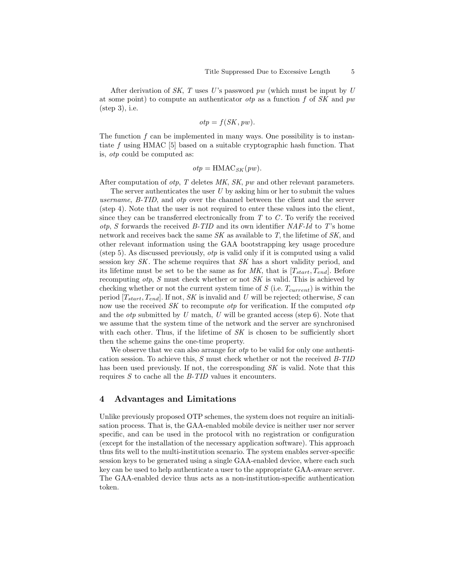After derivation of SK, T uses U's password  $pw$  (which must be input by U at some point) to compute an authenticator *otp* as a function f of SK and  $pw$ (step 3), i.e.

$$
otp = f(SK, pw).
$$

The function  $f$  can be implemented in many ways. One possibility is to instantiate f using HMAC [5] based on a suitable cryptographic hash function. That is, otp could be computed as:

$$
otp = \text{HMAC}_{SK}(pw).
$$

After computation of *otp*, T deletes MK, SK, pw and other relevant parameters.

The server authenticates the user  $U$  by asking him or her to submit the values username, B-TID, and otp over the channel between the client and the server (step 4). Note that the user is not required to enter these values into the client, since they can be transferred electronically from  $T$  to  $C$ . To verify the received  $otp$ , S forwards the received B-TID and its own identifier NAF-Id to T's home network and receives back the same  $SK$  as available to  $T$ , the lifetime of  $SK$ , and other relevant information using the GAA bootstrapping key usage procedure (step 5). As discussed previously, otp is valid only if it is computed using a valid session key SK. The scheme requires that SK has a short validity period, and its lifetime must be set to be the same as for MK, that is  $[T_{start}, T_{end}]$ . Before recomputing  $otp$ , S must check whether or not SK is valid. This is achieved by checking whether or not the current system time of  $S$  (i.e.  $T_{current}$ ) is within the period  $[T_{start}, T_{end}]$ . If not, SK is invalid and U will be rejected; otherwise, S can now use the received  $SK$  to recompute  $otp$  for verification. If the computed  $otp$ and the *otp* submitted by U match, U will be granted access (step 6). Note that we assume that the system time of the network and the server are synchronised with each other. Thus, if the lifetime of  $SK$  is chosen to be sufficiently short then the scheme gains the one-time property.

We observe that we can also arrange for  $otp$  to be valid for only one authentication session. To achieve this,  $S$  must check whether or not the received  $B-TID$ has been used previously. If not, the corresponding SK is valid. Note that this requires  $S$  to cache all the  $B$ -TID values it encounters.

#### 4 Advantages and Limitations

Unlike previously proposed OTP schemes, the system does not require an initialisation process. That is, the GAA-enabled mobile device is neither user nor server specific, and can be used in the protocol with no registration or configuration (except for the installation of the necessary application software). This approach thus fits well to the multi-institution scenario. The system enables server-specific session keys to be generated using a single GAA-enabled device, where each such key can be used to help authenticate a user to the appropriate GAA-aware server. The GAA-enabled device thus acts as a non-institution-specific authentication token.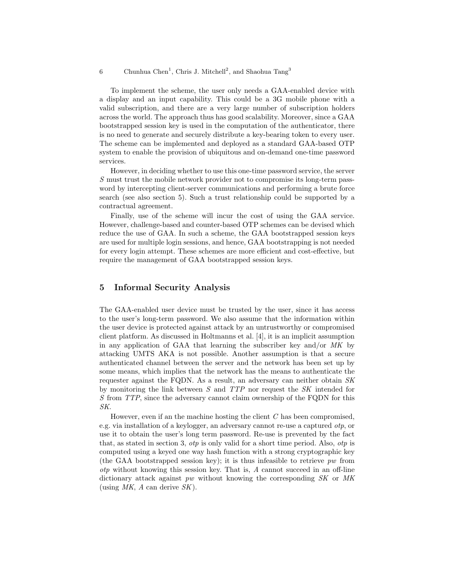6 Chunhua Chen<sup>1</sup>, Chris J. Mitchell<sup>2</sup>, and Shaohua Tang<sup>3</sup>

To implement the scheme, the user only needs a GAA-enabled device with a display and an input capability. This could be a 3G mobile phone with a valid subscription, and there are a very large number of subscription holders across the world. The approach thus has good scalability. Moreover, since a GAA bootstrapped session key is used in the computation of the authenticator, there is no need to generate and securely distribute a key-bearing token to every user. The scheme can be implemented and deployed as a standard GAA-based OTP system to enable the provision of ubiquitous and on-demand one-time password services.

However, in deciding whether to use this one-time password service, the server S must trust the mobile network provider not to compromise its long-term password by intercepting client-server communications and performing a brute force search (see also section 5). Such a trust relationship could be supported by a contractual agreement.

Finally, use of the scheme will incur the cost of using the GAA service. However, challenge-based and counter-based OTP schemes can be devised which reduce the use of GAA. In such a scheme, the GAA bootstrapped session keys are used for multiple login sessions, and hence, GAA bootstrapping is not needed for every login attempt. These schemes are more efficient and cost-effective, but require the management of GAA bootstrapped session keys.

# 5 Informal Security Analysis

The GAA-enabled user device must be trusted by the user, since it has access to the user's long-term password. We also assume that the information within the user device is protected against attack by an untrustworthy or compromised client platform. As discussed in Holtmanns et al. [4], it is an implicit assumption in any application of GAA that learning the subscriber key and/or MK by attacking UMTS AKA is not possible. Another assumption is that a secure authenticated channel between the server and the network has been set up by some means, which implies that the network has the means to authenticate the requester against the FQDN. As a result, an adversary can neither obtain SK by monitoring the link between S and TTP nor request the SK intended for S from TTP, since the adversary cannot claim ownership of the FQDN for this SK.

However, even if an the machine hosting the client C has been compromised, e.g. via installation of a keylogger, an adversary cannot re-use a captured otp, or use it to obtain the user's long term password. Re-use is prevented by the fact that, as stated in section 3, otp is only valid for a short time period. Also, otp is computed using a keyed one way hash function with a strong cryptographic key (the GAA bootstrapped session key); it is thus infeasible to retrieve  $pw$  from otp without knowing this session key. That is, A cannot succeed in an off-line dictionary attack against pw without knowing the corresponding SK or MK (using MK, A can derive  $SK$ ).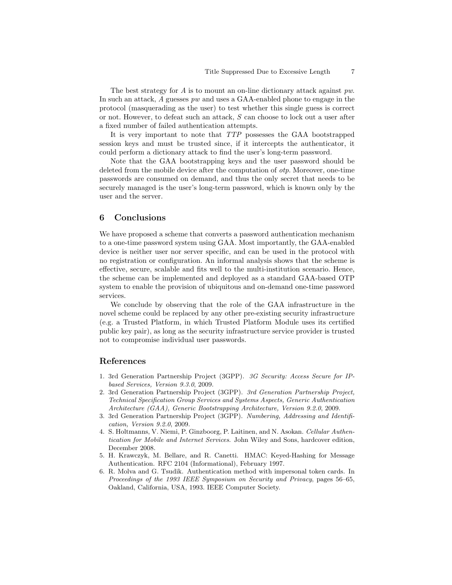The best strategy for A is to mount an on-line dictionary attack against pw. In such an attack, A guesses  $pw$  and uses a GAA-enabled phone to engage in the protocol (masquerading as the user) to test whether this single guess is correct or not. However, to defeat such an attack, S can choose to lock out a user after a fixed number of failed authentication attempts.

It is very important to note that TTP possesses the GAA bootstrapped session keys and must be trusted since, if it intercepts the authenticator, it could perform a dictionary attack to find the user's long-term password.

Note that the GAA bootstrapping keys and the user password should be deleted from the mobile device after the computation of otp. Moreover, one-time passwords are consumed on demand, and thus the only secret that needs to be securely managed is the user's long-term password, which is known only by the user and the server.

## 6 Conclusions

We have proposed a scheme that converts a password authentication mechanism to a one-time password system using GAA. Most importantly, the GAA-enabled device is neither user nor server specific, and can be used in the protocol with no registration or configuration. An informal analysis shows that the scheme is effective, secure, scalable and fits well to the multi-institution scenario. Hence, the scheme can be implemented and deployed as a standard GAA-based OTP system to enable the provision of ubiquitous and on-demand one-time password services.

We conclude by observing that the role of the GAA infrastructure in the novel scheme could be replaced by any other pre-existing security infrastructure (e.g. a Trusted Platform, in which Trusted Platform Module uses its certified public key pair), as long as the security infrastructure service provider is trusted not to compromise individual user passwords.

# References

- 1. 3rd Generation Partnership Project (3GPP). 3G Security: Access Secure for IPbased Services, Version 9.3.0, 2009.
- 2. 3rd Generation Partnership Project (3GPP). 3rd Generation Partnership Project, Technical Specification Group Services and Systems Aspects, Generic Authentication Architecture (GAA), Generic Bootstrapping Architecture, Version 9.2.0, 2009.
- 3. 3rd Generation Partnership Project (3GPP). Numbering, Addressing and Identification, Version 9.2.0, 2009.
- 4. S. Holtmanns, V. Niemi, P. Ginzboorg, P. Laitinen, and N. Asokan. Cellular Authentication for Mobile and Internet Services. John Wiley and Sons, hardcover edition, December 2008.
- 5. H. Krawczyk, M. Bellare, and R. Canetti. HMAC: Keyed-Hashing for Message Authentication. RFC 2104 (Informational), February 1997.
- 6. R. Molva and G. Tsudik. Authentication method with impersonal token cards. In Proceedings of the 1993 IEEE Symposium on Security and Privacy, pages 56–65, Oakland, California, USA, 1993. IEEE Computer Society.